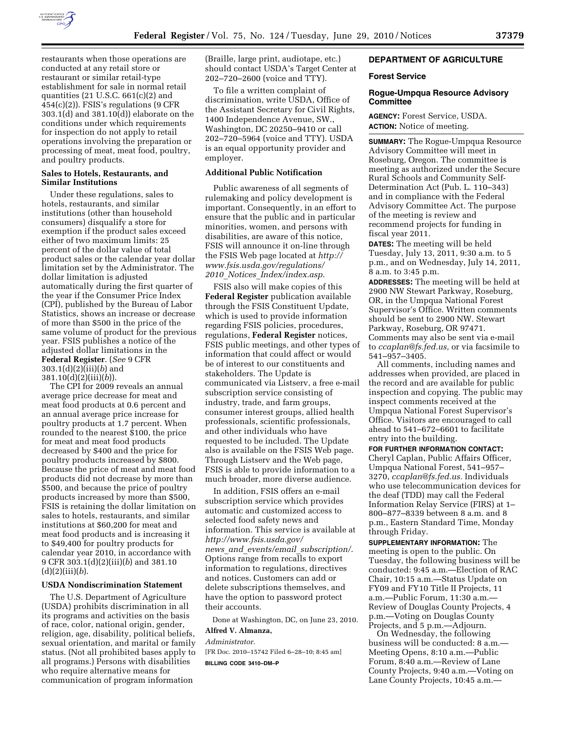

restaurants when those operations are conducted at any retail store or restaurant or similar retail-type establishment for sale in normal retail quantities (21 U.S.C. 661(c)(2) and 454(c)(2)). FSIS's regulations (9 CFR 303.1(d) and 381.10(d)) elaborate on the conditions under which requirements for inspection do not apply to retail operations involving the preparation or processing of meat, meat food, poultry, and poultry products.

### **Sales to Hotels, Restaurants, and Similar Institutions**

Under these regulations, sales to hotels, restaurants, and similar institutions (other than household consumers) disqualify a store for exemption if the product sales exceed either of two maximum limits: 25 percent of the dollar value of total product sales or the calendar year dollar limitation set by the Administrator. The dollar limitation is adjusted automatically during the first quarter of the year if the Consumer Price Index (CPI), published by the Bureau of Labor Statistics, shows an increase or decrease of more than \$500 in the price of the same volume of product for the previous year. FSIS publishes a notice of the adjusted dollar limitations in the **Federal Register**. (*See* 9 CFR 303.1(d)(2)(iii)(*b*) and 381.10(d)(2)(iii)(*b*)).

The CPI for 2009 reveals an annual average price decrease for meat and meat food products at 0.6 percent and an annual average price increase for poultry products at 1.7 percent. When rounded to the nearest \$100, the price for meat and meat food products decreased by \$400 and the price for poultry products increased by \$800. Because the price of meat and meat food products did not decrease by more than \$500, and because the price of poultry products increased by more than \$500, FSIS is retaining the dollar limitation on sales to hotels, restaurants, and similar institutions at \$60,200 for meat and meat food products and is increasing it to \$49,400 for poultry products for calendar year 2010, in accordance with 9 CFR 303.1(d)(2)(iii)(*b*) and 381.10  $(d)(2)(iii)(b).$ 

### **USDA Nondiscrimination Statement**

The U.S. Department of Agriculture (USDA) prohibits discrimination in all its programs and activities on the basis of race, color, national origin, gender, religion, age, disability, political beliefs, sexual orientation, and marital or family status. (Not all prohibited bases apply to all programs.) Persons with disabilities who require alternative means for communication of program information

(Braille, large print, audiotape, etc.) should contact USDA's Target Center at 202–720–2600 (voice and TTY).

To file a written complaint of discrimination, write USDA, Office of the Assistant Secretary for Civil Rights, 1400 Independence Avenue, SW., Washington, DC 20250–9410 or call 202–720–5964 (voice and TTY). USDA is an equal opportunity provider and employer.

### **Additional Public Notification**

Public awareness of all segments of rulemaking and policy development is important. Consequently, in an effort to ensure that the public and in particular minorities, women, and persons with disabilities, are aware of this notice, FSIS will announce it on-line through the FSIS Web page located at *http:// www.fsis.usda.gov/regulations/ 2010*\_*Notices*\_*Index/index.asp*.

FSIS also will make copies of this **Federal Register** publication available through the FSIS Constituent Update, which is used to provide information regarding FSIS policies, procedures, regulations, **Federal Register** notices, FSIS public meetings, and other types of information that could affect or would be of interest to our constituents and stakeholders. The Update is communicated via Listserv, a free e-mail subscription service consisting of industry, trade, and farm groups, consumer interest groups, allied health professionals, scientific professionals, and other individuals who have requested to be included. The Update also is available on the FSIS Web page. Through Listserv and the Web page, FSIS is able to provide information to a much broader, more diverse audience.

In addition, FSIS offers an e-mail subscription service which provides automatic and customized access to selected food safety news and information. This service is available at *http://www.fsis.usda.gov/ news*\_*and*\_*events/email*\_*subscription/*. Options range from recalls to export information to regulations, directives and notices. Customers can add or delete subscriptions themselves, and have the option to password protect their accounts.

Done at Washington, DC, on June 23, 2010.

#### **Alfred V. Almanza,**

*Administrator.*  [FR Doc. 2010–15742 Filed 6–28–10; 8:45 am] **BILLING CODE 3410–DM–P** 

### **DEPARTMENT OF AGRICULTURE**

#### **Forest Service**

### **Rogue-Umpqua Resource Advisory Committee**

**AGENCY:** Forest Service, USDA. **ACTION:** Notice of meeting.

**SUMMARY:** The Rogue-Umpqua Resource Advisory Committee will meet in Roseburg, Oregon. The committee is meeting as authorized under the Secure Rural Schools and Community Self-Determination Act (Pub. L. 110–343) and in compliance with the Federal Advisory Committee Act. The purpose of the meeting is review and recommend projects for funding in fiscal year 2011.

**DATES:** The meeting will be held Tuesday, July 13, 2011, 9:30 a.m. to 5 p.m., and on Wednesday, July 14, 2011, 8 a.m. to 3:45 p.m.

**ADDRESSES:** The meeting will be held at 2900 NW Stewart Parkway, Roseburg, OR, in the Umpqua National Forest Supervisor's Office. Written comments should be sent to 2900 NW. Stewart Parkway, Roseburg, OR 97471. Comments may also be sent via e-mail to *ccaplan@fs.fed.us,* or via facsimile to 541–957–3405.

All comments, including names and addresses when provided, are placed in the record and are available for public inspection and copying. The public may inspect comments received at the Umpqua National Forest Supervisor's Office. Visitors are encouraged to call ahead to 541–672–6601 to facilitate entry into the building.

**FOR FURTHER INFORMATION CONTACT:**  Cheryl Caplan, Public Affairs Officer, Umpqua National Forest, 541–957– 3270, *ccaplan@fs.fed.us.* Individuals who use telecommunication devices for the deaf (TDD) may call the Federal Information Relay Service (FIRS) at 1– 800–877–8339 between 8 a.m. and 8 p.m., Eastern Standard Time, Monday through Friday.

**SUPPLEMENTARY INFORMATION:** The meeting is open to the public. On Tuesday, the following business will be conducted: 9:45 a.m.—Election of RAC Chair, 10:15 a.m.—Status Update on FY09 and FY10 Title II Projects, 11 a.m.—Public Forum, 11:30 a.m.— Review of Douglas County Projects, 4 p.m.—Voting on Douglas County Projects, and 5 p.m.—Adjourn.

On Wednesday, the following business will be conducted: 8 a.m.— Meeting Opens, 8:10 a.m.—Public Forum, 8:40 a.m.—Review of Lane County Projects, 9:40 a.m.—Voting on Lane County Projects, 10:45 a.m.—